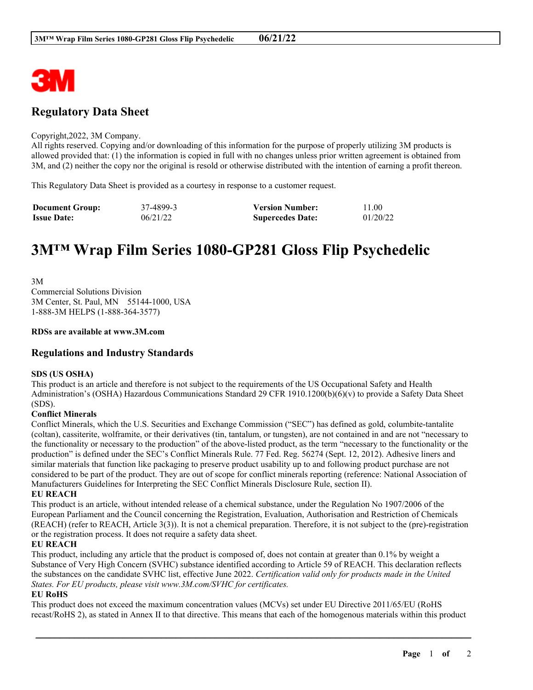

# **Regulatory Data Sheet**

#### Copyright,2022, 3M Company.

All rights reserved. Copying and/or downloading of this information for the purpose of properly utilizing 3M products is allowed provided that: (1) the information is copied in full with no changes unless prior written agreement is obtained from 3M, and (2) neither the copy nor the original is resold or otherwise distributed with the intention of earning a profit thereon.

This Regulatory Data Sheet is provided as a courtesy in response to a customer request.

| <b>Document Group:</b> | 37-4899-3 | <b>Version Number:</b>  | 11.00    |
|------------------------|-----------|-------------------------|----------|
| <b>Issue Date:</b>     | 06/21/22  | <b>Supercedes Date:</b> | 01/20/22 |

# **3M™ Wrap Film Series 1080-GP281 Gloss Flip Psychedelic**

3M Commercial Solutions Division 3M Center, St. Paul, MN 55144-1000, USA 1-888-3M HELPS (1-888-364-3577)

#### **RDSs are available at www.3M.com**

# **Regulations and Industry Standards**

## **SDS (US OSHA)**

This product is an article and therefore is not subject to the requirements of the US Occupational Safety and Health Administration's (OSHA) Hazardous Communications Standard 29 CFR 1910.1200(b)(6)(v) to provide a Safety Data Sheet (SDS).

## **Conflict Minerals**

Conflict Minerals, which the U.S. Securities and Exchange Commission ("SEC") has defined as gold, columbite-tantalite (coltan), cassiterite, wolframite, or their derivatives (tin, tantalum, or tungsten), are not contained in and are not "necessary to the functionality or necessary to the production" of the above-listed product, as the term "necessary to the functionality or the production" is defined under the SEC's Conflict Minerals Rule. 77 Fed. Reg. 56274 (Sept. 12, 2012). Adhesive liners and similar materials that function like packaging to preserve product usability up to and following product purchase are not considered to be part of the product. They are out of scope for conflict minerals reporting (reference: National Association of Manufacturers Guidelines for Interpreting the SEC Conflict Minerals Disclosure Rule, section II).

#### **EU REACH**

This product is an article, without intended release of a chemical substance, under the Regulation No 1907/2006 of the European Parliament and the Council concerning the Registration, Evaluation, Authorisation and Restriction of Chemicals (REACH) (refer to REACH, Article 3(3)). It is not a chemical preparation. Therefore, it is not subject to the (pre)-registration or the registration process. It does not require a safety data sheet.

## **EU REACH**

This product, including any article that the product is composed of, does not contain at greater than 0.1% by weight a Substance of Very High Concern (SVHC) substance identified according to Article 59 of REACH. This declaration reflects the substances on the candidate SVHC list, effective June 2022. *Certification valid only for products made in the United States. For EU products, please visit www.3M.com/SVHC for certificates.*

## **EU RoHS**

This product does not exceed the maximum concentration values (MCVs) set under EU Directive 2011/65/EU (RoHS recast/RoHS 2), as stated in Annex II to that directive. This means that each of the homogenous materials within this product

\_\_\_\_\_\_\_\_\_\_\_\_\_\_\_\_\_\_\_\_\_\_\_\_\_\_\_\_\_\_\_\_\_\_\_\_\_\_\_\_\_\_\_\_\_\_\_\_\_\_\_\_\_\_\_\_\_\_\_\_\_\_\_\_\_\_\_\_\_\_\_\_\_\_\_\_\_\_\_\_\_\_\_\_\_\_\_\_\_\_